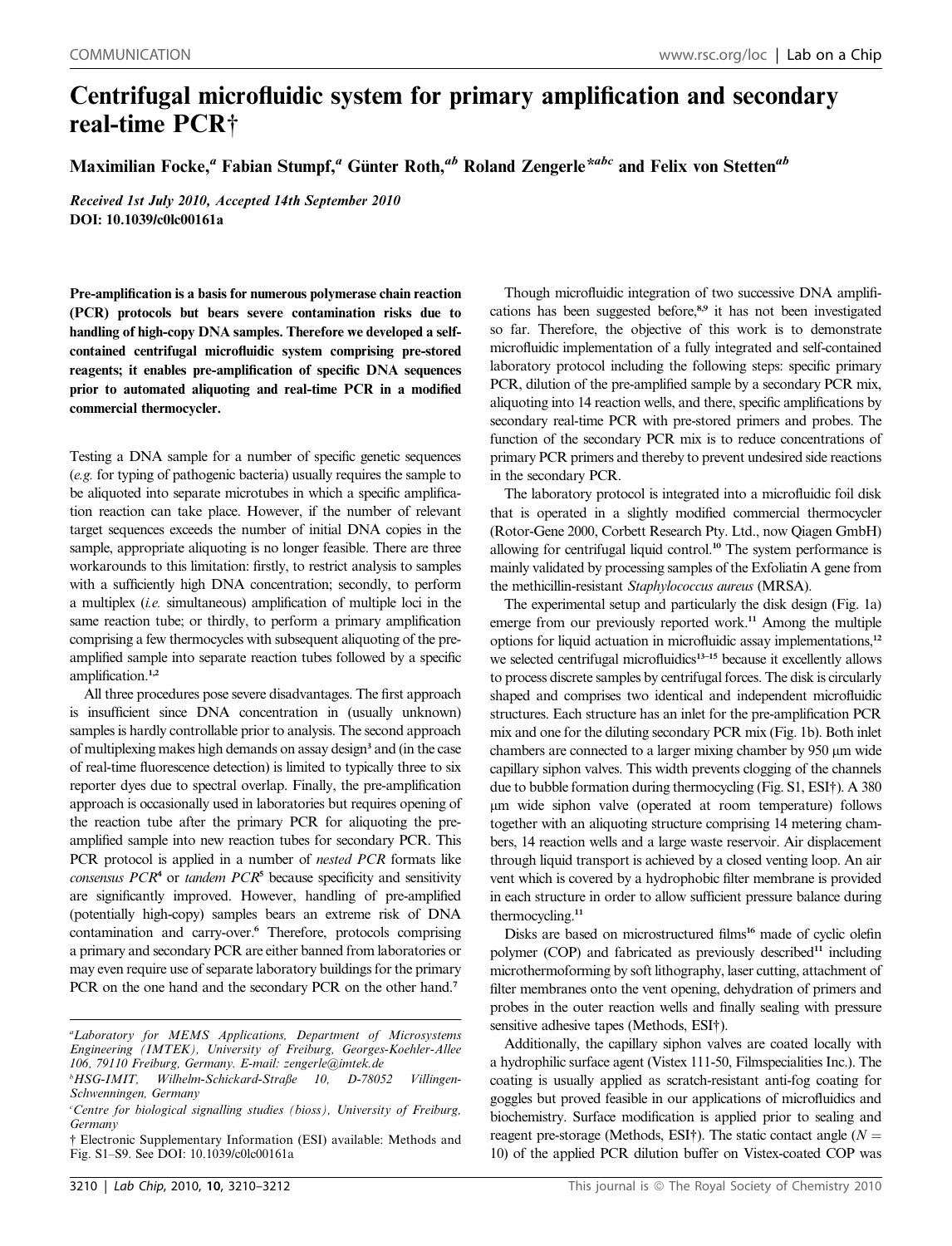## Centrifugal microfluidic system for primary amplification and secondary real-time PCR†

Maximilian Focke,<sup>a</sup> Fabian Stumpf,<sup>a</sup> Günter Roth,<sup>ab</sup> Roland Zengerle<sup>\*abc</sup> and Felix von Stetten<sup>ab</sup>

Received 1st July 2010, Accepted 14th September 2010 DOI: 10.1039/c0lc00161a

Pre-amplification is a basis for numerous polymerase chain reaction (PCR) protocols but bears severe contamination risks due to handling of high-copy DNA samples. Therefore we developed a selfcontained centrifugal microfluidic system comprising pre-stored reagents; it enables pre-amplification of specific DNA sequences prior to automated aliquoting and real-time PCR in a modified commercial thermocycler.

Testing a DNA sample for a number of specific genetic sequences (e.g. for typing of pathogenic bacteria) usually requires the sample to be aliquoted into separate microtubes in which a specific amplification reaction can take place. However, if the number of relevant target sequences exceeds the number of initial DNA copies in the sample, appropriate aliquoting is no longer feasible. There are three workarounds to this limitation: firstly, to restrict analysis to samples with a sufficiently high DNA concentration; secondly, to perform a multiplex (i.e. simultaneous) amplification of multiple loci in the same reaction tube; or thirdly, to perform a primary amplification comprising a few thermocycles with subsequent aliquoting of the preamplified sample into separate reaction tubes followed by a specific amplification.<sup>1,2</sup>

All three procedures pose severe disadvantages. The first approach is insufficient since DNA concentration in (usually unknown) samples is hardly controllable prior to analysis. The second approach of multiplexing makes high demands on assay design<sup>3</sup> and (in the case of real-time fluorescence detection) is limited to typically three to six reporter dyes due to spectral overlap. Finally, the pre-amplification approach is occasionally used in laboratories but requires opening of the reaction tube after the primary PCR for aliquoting the preamplified sample into new reaction tubes for secondary PCR. This PCR protocol is applied in a number of *nested PCR* formats like consensus  $PCR<sup>4</sup>$  or tandem  $PCR<sup>5</sup>$  because specificity and sensitivity are significantly improved. However, handling of pre-amplified (potentially high-copy) samples bears an extreme risk of DNA contamination and carry-over.<sup>6</sup> Therefore, protocols comprising a primary and secondary PCR are either banned from laboratories or may even require use of separate laboratory buildings for the primary PCR on the one hand and the secondary PCR on the other hand.<sup>7</sup>

Though microfluidic integration of two successive DNA amplifications has been suggested before,8,9 it has not been investigated so far. Therefore, the objective of this work is to demonstrate microfluidic implementation of a fully integrated and self-contained laboratory protocol including the following steps: specific primary PCR, dilution of the pre-amplified sample by a secondary PCR mix, aliquoting into 14 reaction wells, and there, specific amplifications by secondary real-time PCR with pre-stored primers and probes. The function of the secondary PCR mix is to reduce concentrations of primary PCR primers and thereby to prevent undesired side reactions in the secondary PCR.

The laboratory protocol is integrated into a microfluidic foil disk that is operated in a slightly modified commercial thermocycler (Rotor-Gene 2000, Corbett Research Pty. Ltd., now Qiagen GmbH) allowing for centrifugal liquid control.<sup>10</sup> The system performance is mainly validated by processing samples of the Exfoliatin A gene from the methicillin-resistant Staphylococcus aureus (MRSA).

The experimental setup and particularly the disk design (Fig. 1a) emerge from our previously reported work.<sup>11</sup> Among the multiple options for liquid actuation in microfluidic assay implementations,<sup>12</sup> we selected centrifugal microfluidics<sup>13-15</sup> because it excellently allows to process discrete samples by centrifugal forces. The disk is circularly shaped and comprises two identical and independent microfluidic structures. Each structure has an inlet for the pre-amplification PCR mix and one for the diluting secondary PCR mix (Fig. 1b). Both inlet chambers are connected to a larger mixing chamber by 950  $\mu$ m wide capillary siphon valves. This width prevents clogging of the channels due to bubble formation during thermocycling (Fig. S1, ESI†). A 380 mm wide siphon valve (operated at room temperature) follows together with an aliquoting structure comprising 14 metering chambers, 14 reaction wells and a large waste reservoir. Air displacement through liquid transport is achieved by a closed venting loop. An air vent which is covered by a hydrophobic filter membrane is provided in each structure in order to allow sufficient pressure balance during thermocycling.<sup>11</sup>

Disks are based on microstructured films<sup>16</sup> made of cyclic olefin polymer (COP) and fabricated as previously described<sup>11</sup> including microthermoforming by soft lithography, laser cutting, attachment of filter membranes onto the vent opening, dehydration of primers and probes in the outer reaction wells and finally sealing with pressure sensitive adhesive tapes (Methods, ESI†).

Additionally, the capillary siphon valves are coated locally with a hydrophilic surface agent (Vistex 111-50, Filmspecialities Inc.). The coating is usually applied as scratch-resistant anti-fog coating for goggles but proved feasible in our applications of microfluidics and biochemistry. Surface modification is applied prior to sealing and reagent pre-storage (Methods, ESI†). The static contact angle ( $N =$ 10) of the applied PCR dilution buffer on Vistex-coated COP was

a Laboratory for MEMS Applications, Department of Microsystems Engineering (IMTEK), University of Freiburg, Georges-Koehler-Allee 106, 79110 Freiburg, Germany. E-mail: zengerle@imtek.de

<sup>&</sup>lt;sup>b</sup>HSG-IMIT, Wilhelm-Schickard-Straße 10, D-78052 Villingen-Schwenningen, Germany

<sup>&</sup>lt;sup>c</sup>Centre for biological signalling studies (bioss), University of Freiburg, Germany

<sup>†</sup> Electronic Supplementary Information (ESI) available: Methods and Fig. S1–S9. See DOI: 10.1039/c0lc00161a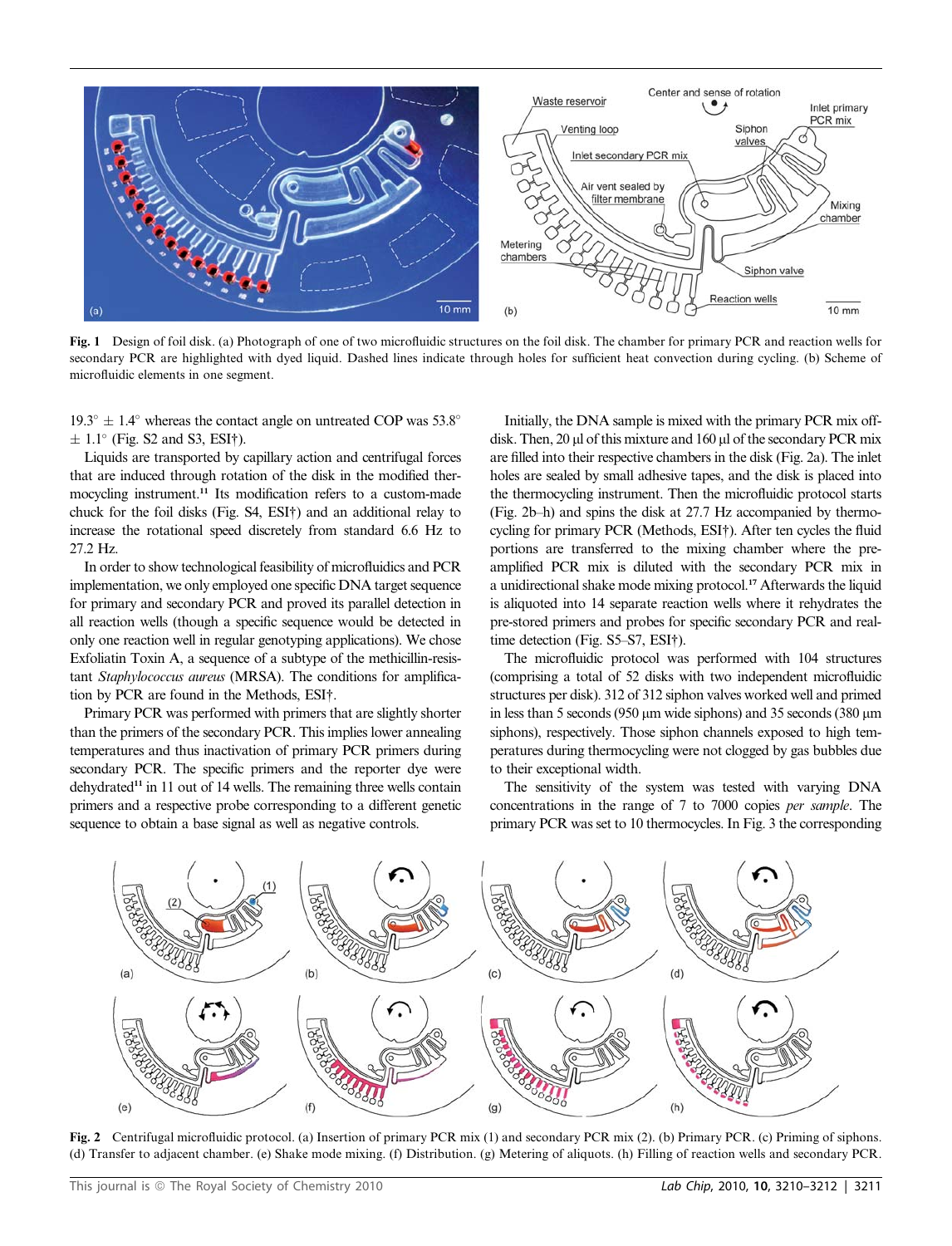

Fig. 1 Design of foil disk. (a) Photograph of one of two microfluidic structures on the foil disk. The chamber for primary PCR and reaction wells for secondary PCR are highlighted with dyed liquid. Dashed lines indicate through holes for sufficient heat convection during cycling. (b) Scheme of microfluidic elements in one segment.

 $19.3^{\circ} \pm 1.4^{\circ}$  whereas the contact angle on untreated COP was 53.8<sup>o</sup>  $\pm$  1.1° (Fig. S2 and S3, ESI†).

Liquids are transported by capillary action and centrifugal forces that are induced through rotation of the disk in the modified thermocycling instrument.<sup>11</sup> Its modification refers to a custom-made chuck for the foil disks (Fig. S4, ESI†) and an additional relay to increase the rotational speed discretely from standard 6.6 Hz to 27.2 Hz.

In order to show technological feasibility of microfluidics and PCR implementation, we only employed one specific DNA target sequence for primary and secondary PCR and proved its parallel detection in all reaction wells (though a specific sequence would be detected in only one reaction well in regular genotyping applications). We chose Exfoliatin Toxin A, a sequence of a subtype of the methicillin-resistant Staphylococcus aureus (MRSA). The conditions for amplification by PCR are found in the Methods, ESI†.

Primary PCR was performed with primers that are slightly shorter than the primers of the secondary PCR. This implies lower annealing temperatures and thus inactivation of primary PCR primers during secondary PCR. The specific primers and the reporter dye were  $dehydrated<sup>11</sup>$  in 11 out of 14 wells. The remaining three wells contain primers and a respective probe corresponding to a different genetic sequence to obtain a base signal as well as negative controls.

Initially, the DNA sample is mixed with the primary PCR mix offdisk. Then, 20 ul of this mixture and 160 ul of the secondary PCR mix are filled into their respective chambers in the disk (Fig. 2a). The inlet holes are sealed by small adhesive tapes, and the disk is placed into the thermocycling instrument. Then the microfluidic protocol starts (Fig. 2b–h) and spins the disk at 27.7 Hz accompanied by thermocycling for primary PCR (Methods, ESI†). After ten cycles the fluid portions are transferred to the mixing chamber where the preamplified PCR mix is diluted with the secondary PCR mix in a unidirectional shake mode mixing protocol.<sup>17</sup> Afterwards the liquid is aliquoted into 14 separate reaction wells where it rehydrates the pre-stored primers and probes for specific secondary PCR and realtime detection (Fig. S5–S7, ESI†).

The microfluidic protocol was performed with 104 structures (comprising a total of 52 disks with two independent microfluidic structures per disk). 312 of 312 siphon valves worked well and primed in less than 5 seconds (950  $\mu$ m wide siphons) and 35 seconds (380  $\mu$ m siphons), respectively. Those siphon channels exposed to high temperatures during thermocycling were not clogged by gas bubbles due to their exceptional width.

The sensitivity of the system was tested with varying DNA concentrations in the range of 7 to 7000 copies per sample. The primary PCR was set to 10 thermocycles. In Fig. 3 the corresponding



Fig. 2 Centrifugal microfluidic protocol. (a) Insertion of primary PCR mix (1) and secondary PCR mix (2). (b) Primary PCR. (c) Priming of siphons. (d) Transfer to adjacent chamber. (e) Shake mode mixing. (f) Distribution. (g) Metering of aliquots. (h) Filling of reaction wells and secondary PCR.